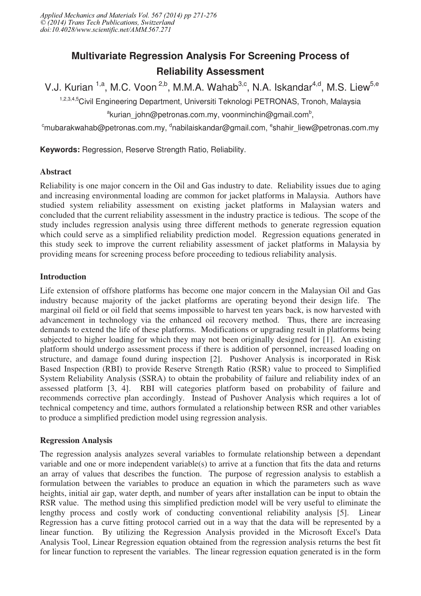# **Multivariate Regression Analysis For Screening Process of Reliability Assessment**

V.J. Kurian <sup>1,a</sup>, M.C. Voon <sup>2,b</sup>, M.M.A. Wahab<sup>3,c</sup>, N.A. Iskandar<sup>4,d</sup>, M.S. Liew<sup>5,e</sup>

1,2,3,4,5Civil Engineering Department, Universiti Teknologi PETRONAS, Tronoh, Malaysia <sup>a</sup>kurian\_john@petronas.com.my, voonminchin@gmail.com<sup>b</sup>,

 $^{\rm c}$ mubarakwahab@petronas.com.my,  $^{\rm d}$ nabilaiskandar@gmail.com,  $^{\rm e}$ shahir\_liew@petronas.com.my

**Keywords:** Regression, Reserve Strength Ratio, Reliability.

# Abstract

Reliability is one major concern in the Oil and Gas industry to date. Reliability issues due to aging and increasing environmental loading are common for jacket platforms in Malaysia. Authors have studied system reliability assessment on existing jacket platforms in Malaysian waters and concluded that the current reliability assessment in the industry practice is tedious. The scope of the study includes regression analysis using three different methods to generate regression equation which could serve as a simplified reliability prediction model. Regression equations generated in this study seek to improve the current reliability assessment of jacket platforms in Malaysia by providing means for screening process before proceeding to tedious reliability analysis.

## Introduction

Life extension of offshore platforms has become one major concern in the Malaysian Oil and Gas industry because majority of the jacket platforms are operating beyond their design life. The marginal oil field or oil field that seems impossible to harvest ten years back, is now harvested with advancement in technology via the enhanced oil recovery method. Thus, there are increasing demands to extend the life of these platforms. Modifications or upgrading result in platforms being subjected to higher loading for which they may not been originally designed for [1]. An existing platform should undergo assessment process if there is addition of personnel, increased loading on structure, and damage found during inspection [2]. Pushover Analysis is incorporated in Risk Based Inspection (RBI) to provide Reserve Strength Ratio (RSR) value to proceed to Simplified System Reliability Analysis (SSRA) to obtain the probability of failure and reliability index of an assessed platform [3, 4]. RBI will categories platform based on probability of failure and recommends corrective plan accordingly. Instead of Pushover Analysis which requires a lot of technical competency and time, authors formulated a relationship between RSR and other variables to produce a simplified prediction model using regression analysis.

# Regression Analysis

The regression analysis analyzes several variables to formulate relationship between a dependant variable and one or more independent variable(s) to arrive at a function that fits the data and returns an array of values that describes the function. The purpose of regression analysis to establish a formulation between the variables to produce an equation in which the parameters such as wave heights, initial air gap, water depth, and number of years after installation can be input to obtain the RSR value. The method using this simplified prediction model will be very useful to eliminate the lengthy process and costly work of conducting conventional reliability analysis [5]. Linear Regression has a curve fitting protocol carried out in a way that the data will be represented by a linear function. By utilizing the Regression Analysis provided in the Microsoft Excel's Data Analysis Tool, Linear Regression equation obtained from the regression analysis returns the best fit for linear function to represent the variables. The linear regression equation generated is in the form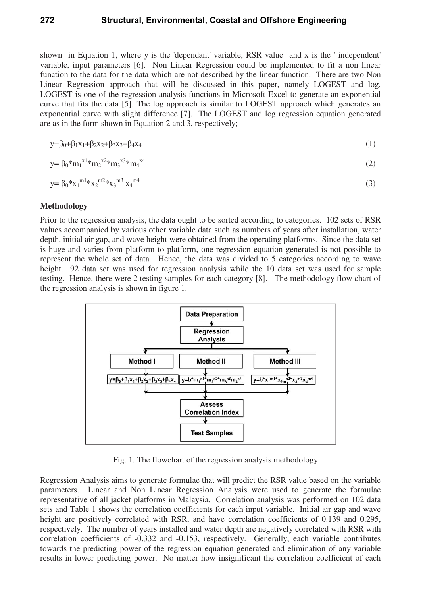shown in Equation 1, where y is the 'dependant' variable, RSR value and x is the ' independent' variable, input parameters [6]. Non Linear Regression could be implemented to fit a non linear function to the data for the data which are not described by the linear function. There are two Non Linear Regression approach that will be discussed in this paper, namely LOGEST and log. LOGEST is one of the regression analysis functions in Microsoft Excel to generate an exponential curve that fits the data [5]. The log approach is similar to LOGEST approach which generates an exponential curve with slight difference [7]. The LOGEST and log regression equation generated are as in the form shown in Equation 2 and 3, respectively;

$$
y = \beta_0 + \beta_1 x_1 + \beta_2 x_2 + \beta_3 x_3 + \beta_4 x_4 \tag{1}
$$

$$
y = \beta_0 * m_1^{x1} * m_2^{x2} * m_3^{x3} * m_4^{x4}
$$
 (2)

$$
y = \beta_0 * x_1^{m1} * x_2^{m2} * x_3^{m3} x_4^{m4}
$$
 (3)

## Methodology

Prior to the regression analysis, the data ought to be sorted according to categories. 102 sets of RSR values accompanied by various other variable data such as numbers of years after installation, water depth, initial air gap, and wave height were obtained from the operating platforms. Since the data set is huge and varies from platform to platform, one regression equation generated is not possible to represent the whole set of data. Hence, the data was divided to 5 categories according to wave height. 92 data set was used for regression analysis while the 10 data set was used for sample testing. Hence, there were 2 testing samples for each category [8]. The methodology flow chart of the regression analysis is shown in figure 1.



Fig. 1. The flowchart of the regression analysis methodology

Regression Analysis aims to generate formulae that will predict the RSR value based on the variable parameters. Linear and Non Linear Regression Analysis were used to generate the formulae representative of all jacket platforms in Malaysia. Correlation analysis was performed on 102 data sets and Table 1 shows the correlation coefficients for each input variable. Initial air gap and wave height are positively correlated with RSR, and have correlation coefficients of 0.139 and 0.295, respectively. The number of years installed and water depth are negatively correlated with RSR with correlation coefficients of -0.332 and -0.153, respectively. Generally, each variable contributes towards the predicting power of the regression equation generated and elimination of any variable results in lower predicting power. No matter how insignificant the correlation coefficient of each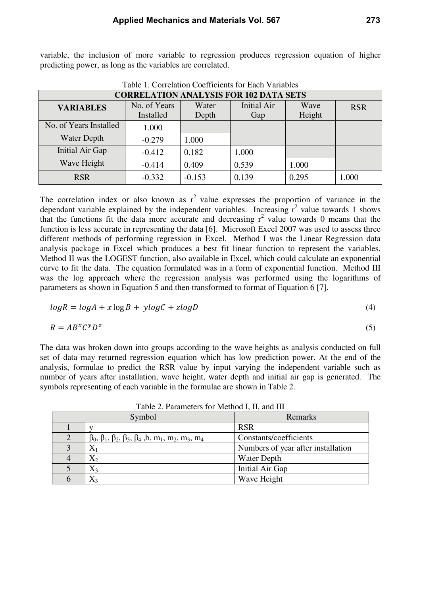variable, the inclusion of more variable to regression produces regression equation of higher predicting power, as long as the variables are correlated.

| <b>CORRELATION ANALYSIS FOR 102 DATA SETS</b> |              |          |                    |        |            |  |
|-----------------------------------------------|--------------|----------|--------------------|--------|------------|--|
| <b>VARIABLES</b>                              | No. of Years | Water    | <b>Initial Air</b> | Wave   | <b>RSR</b> |  |
|                                               | Installed    | Depth    | Gap                | Height |            |  |
| No. of Years Installed                        | 1.000        |          |                    |        |            |  |
| <b>Water Depth</b>                            | $-0.279$     | 1.000    |                    |        |            |  |
| Initial Air Gap                               | $-0.412$     | 0.182    | 1.000              |        |            |  |
| Wave Height                                   | $-0.414$     | 0.409    | 0.539              | 1.000  |            |  |
| <b>RSR</b>                                    | $-0.332$     | $-0.153$ | 0.139              | 0.295  | 1.000      |  |

Table 1. Correlation Coefficients for Each Variables

The correlation index or also known as  $r^2$  value expresses the proportion of variance in the dependant variable explained by the independent variables. Increasing  $r^2$  value towards 1 shows that the functions fit the data more accurate and decreasing  $r^2$  value towards 0 means that the function is less accurate in representing the data [6]. Microsoft Excel 2007 was used to assess three different methods of performing regression in Excel. Method I was the Linear Regression data analysis package in Excel which produces a best fit linear function to represent the variables. Method II was the LOGEST function, also available in Excel, which could calculate an exponential curve to fit the data. The equation formulated was in a form of exponential function. Method III was the log approach where the regression analysis was performed using the logarithms of parameters as shown in Equation 5 and then transformed to format of Equation 6 [7].

$$
logR = logA + x logB + y logC + z logD \tag{4}
$$

$$
R = AB^x C^y D^z \tag{5}
$$

The data was broken down into groups according to the wave heights as analysis conducted on full set of data may returned regression equation which has low prediction power. At the end of the analysis, formulae to predict the RSR value by input varying the independent variable such as number of years after installation, wave height, water depth and initial air gap is generated. The symbols representing of each variable in the formulae are shown in Table 2.

|  | Symbol                                                                                          | Remarks                            |  |  |  |  |
|--|-------------------------------------------------------------------------------------------------|------------------------------------|--|--|--|--|
|  |                                                                                                 | <b>RSR</b>                         |  |  |  |  |
|  | $\beta_0$ , $\beta_1$ , $\beta_2$ , $\beta_3$ , $\beta_4$ , $b$ , $m_1$ , $m_2$ , $m_3$ , $m_4$ | Constants/coefficients             |  |  |  |  |
|  |                                                                                                 | Numbers of year after installation |  |  |  |  |
|  | $\mathrm{X}_2$                                                                                  | Water Depth                        |  |  |  |  |
|  | $\mathrm{X}_3$                                                                                  | Initial Air Gap                    |  |  |  |  |
|  | $X_3$                                                                                           | Wave Height                        |  |  |  |  |

Table 2. Parameters for Method I, II, and III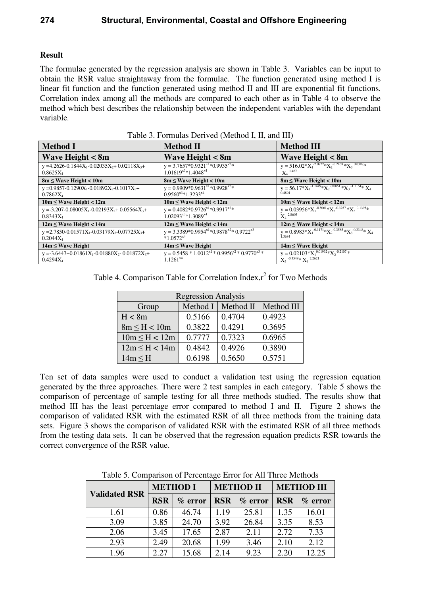### Result

The formulae generated by the regression analysis are shown in Table 3. Variables can be input to obtain the RSR value straightaway from the formulae. The function generated using method I is linear fit function and the function generated using method II and III are exponential fit functions. Correlation index among all the methods are compared to each other as in Table 4 to observe the method which best describes the relationship between the independent variables with the dependant variable.

| <b>Method I</b>                                                         | <b>Method II</b>                                                          | <b>Method III</b>                                                                                                |
|-------------------------------------------------------------------------|---------------------------------------------------------------------------|------------------------------------------------------------------------------------------------------------------|
| <b>Wave Height &lt; 8m</b>                                              | <b>Wave Height &lt; 8m</b>                                                | <b>Wave Height &lt; 8m</b>                                                                                       |
| $y = 4.2626 - 0.1844X_1 - 0.02035X_2 + 0.02118X_3 +$<br>$0.8625X_4$     | $y = 3.7657*0.9321^{x1}*0.9935^{x2}*$<br>$1.01619^{x3}*1.4048^{x4}$       | $y = 516.02 * X_1^{-2.0822} * X_2^{-0.2168} * X_3^{-0.0387} *$<br>$X_4$ <sup>1.467</sup>                         |
| $8m \leq$ Wave Height < 10m                                             | $8m \leq$ Wave Height < 10m                                               | $8m \leq$ Wave Height < 10m                                                                                      |
| $y = 0.9857 - 0.1290X_1 - 0.01892X_2 - 0.1017X_3 +$<br>$0.7862X_4$      | $y = 0.9909*0.9631^{x1}*0.9928^{x2}*$<br>$0.9560^{x3}*1.3233^{x4}$        | y = 56.17 $(X_1^{-1.1449} * X_2^{-0.0861} * X_3^{-1.1164} * X_4)$<br>0.4894                                      |
| $10m \leq$ Wave Height < 12m                                            | $10m \leq W$ ave Height < 12m                                             | $10m \leq$ Wave Height < 12m                                                                                     |
| $y = -3.207 - 0.08005X_1 - 0.02193X_2 + 0.05564X_3 +$<br>$0.8343X_4$    | $y = 0.4082 * 0.9726^{x1} * 0.9917^{x2} *$<br>$1.02093^{x3}*1.3089^{x4}$  | $y = 0.03956*X_1^{-0.5061}*X_2^{-0.3257}*X_3^{-0.1395}*$<br>$X_4$ <sup>2.8603</sup>                              |
| $12m \leq$ Wave Height < 14m                                            | $12m \leq$ Wave Height < 14m                                              | $12m \leq$ Wave Height < 14m                                                                                     |
| y = 2.7850-0.01571 $X_1$ -0.03179 $X_2$ -0.07725 $X_3$ +<br>$0.2044X_4$ | $y = 3.3389*0.9954^{x1}*0.9878^{x2}*0.9722^{x3}$<br>$*1.0572^{x4}$        | y = $0.8983*X_1^{0.1171*}X_2^{0.3585*}X_3^{0.3348*}X_4$<br>1.3684                                                |
| $14m \leq W$ ave Height                                                 | $14m \leq W$ ave Height                                                   | $14m \leq W$ ave Height                                                                                          |
| $y = -3.6447 + 0.01861X_1 - 0.01880X_2 - 0.01872X_3 +$<br>$0.4294X_4$   | $y = 0.5458 * 1.0012^{x1} * 0.9956^{x2} * 0.9770^{x3} *$<br>$1.1261^{x4}$ | $y = 0.02103 * X_1^{\overline{0.01932} * X_2^{-0.2107} *}$<br>$X_3$ <sup>-0.3549</sup> * $X_4$ <sup>2.2621</sup> |

Table 3. Formulas Derived (Method I, II, and III)

| Table 4. Comparison Table for Correlation Index, $r^2$ for Two Methods |  |
|------------------------------------------------------------------------|--|
|                                                                        |  |
|                                                                        |  |

| <b>Regression Analysis</b>                   |        |        |        |  |  |  |
|----------------------------------------------|--------|--------|--------|--|--|--|
| Method II<br>Method III<br>Method I<br>Group |        |        |        |  |  |  |
| H < 8m                                       | 0.5166 | 0.4704 | 0.4923 |  |  |  |
| $8m \leq H < 10m$                            | 0.3822 | 0.4291 | 0.3695 |  |  |  |
| $10m \leq H < 12m$                           | 0.7777 | 0.7323 | 0.6965 |  |  |  |
| $12m \leq H < 14m$                           | 0.4842 | 0.4926 | 0.3890 |  |  |  |
| $14m \leq H$                                 | 0.6198 | 0.5650 | 0.5751 |  |  |  |

Ten set of data samples were used to conduct a validation test using the regression equation generated by the three approaches. There were 2 test samples in each category. Table 5 shows the comparison of percentage of sample testing for all three methods studied. The results show that method III has the least percentage error compared to method I and II. Figure 2 shows the comparison of validated RSR with the estimated RSR of all three methods from the training data sets. Figure 3 shows the comparison of validated RSR with the estimated RSR of all three methods from the testing data sets. It can be observed that the regression equation predicts RSR towards the correct convergence of the RSR value.

Table 5. Comparison of Percentage Error for All Three Methods

| <b>Validated RSR</b> | <b>METHOD I</b> |            | <b>METHOD II</b> |            | <b>METHOD III</b> |           |
|----------------------|-----------------|------------|------------------|------------|-------------------|-----------|
|                      | <b>RSR</b>      | $\%$ error | <b>RSR</b>       | $\%$ error | <b>RSR</b>        | $%$ error |
| 1.61                 | 0.86            | 46.74      | 1.19             | 25.81      | 1.35              | 16.01     |
| 3.09                 | 3.85            | 24.70      | 3.92             | 26.84      | 3.35              | 8.53      |
| 2.06                 | 3.45            | 17.65      | 2.87             | 2.11       | 2.72              | 7.33      |
| 2.93                 | 2.49            | 20.68      | 1.99             | 3.46       | 2.10              | 2.12      |
| 1.96                 | 2.27            | 15.68      | 2.14             | 9.23       | 2.20              | 12.25     |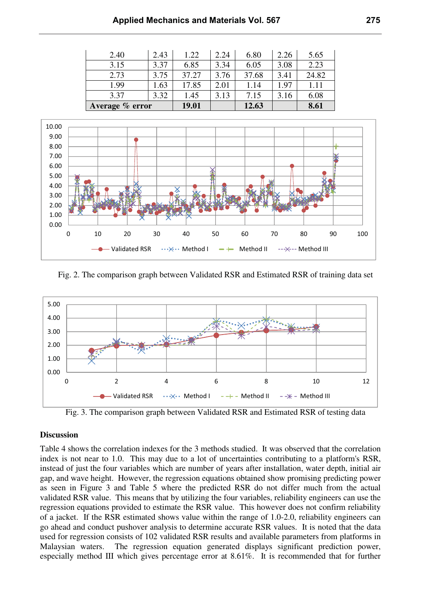| 2.40            | 2.43 | 1.22  | 2.24 | 6.80  | 2.26 | 5.65  |
|-----------------|------|-------|------|-------|------|-------|
| 3.15            | 3.37 | 6.85  | 3.34 | 6.05  | 3.08 | 2.23  |
| 2.73            | 3.75 | 37.27 | 3.76 | 37.68 | 3.41 | 24.82 |
| 1.99            | l.63 | 17.85 | 2.01 | 1.14  | 1.97 | 1.11  |
| 3.37            | 3.32 | 1.45  | 3.13 | 7.15  | 3.16 | 6.08  |
| Average % error |      | 19.01 |      | 12.63 |      | 8.61  |



Fig. 2. The comparison graph between Validated RSR and Estimated RSR of training data set



Fig. 3. The comparison graph between Validated RSR and Estimated RSR of testing data

#### **Discussion**

Table 4 shows the correlation indexes for the 3 methods studied. It was observed that the correlation index is not near to 1.0. This may due to a lot of uncertainties contributing to a platform's RSR, instead of just the four variables which are number of years after installation, water depth, initial air gap, and wave height. However, the regression equations obtained show promising predicting power as seen in Figure 3 and Table 5 where the predicted RSR do not differ much from the actual validated RSR value. This means that by utilizing the four variables, reliability engineers can use the regression equations provided to estimate the RSR value. This however does not confirm reliability of a jacket. If the RSR estimated shows value within the range of 1.0-2.0, reliability engineers can go ahead and conduct pushover analysis to determine accurate RSR values. It is noted that the data used for regression consists of 102 validated RSR results and available parameters from platforms in Malaysian waters. The regression equation generated displays significant prediction power, especially method III which gives percentage error at 8.61%. It is recommended that for further